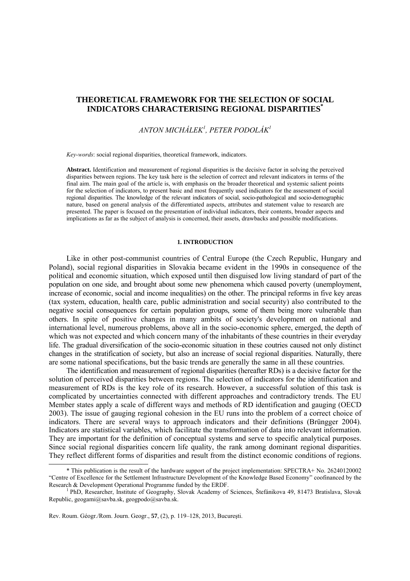# **THEORETICAL FRAMEWORK FOR THE SELECTION OF SOCIAL INDICATORS CHARACTERISING REGIONAL DISPARITIES\***

# *ANTON MICHÁLEK<sup>1</sup> , PETER PODOLÁK1*

*Key-words*: social regional disparities, theoretical framework, indicators.

**Abstract.** Identification and measurement of regional disparities is the decisive factor in solving the perceived disparities between regions. The key task here is the selection of correct and relevant indicators in terms of the final aim. The main goal of the article is, with emphasis on the broader theoretical and systemic salient points for the selection of indicators, to present basic and most frequently used indicators for the assessment of social regional disparities. The knowledge of the relevant indicators of social, socio-pathological and socio-demographic nature, based on general analysis of the differentiated aspects, attributes and statement value to research are presented. The paper is focused on the presentation of individual indicators, their contents, broader aspects and implications as far as the subject of analysis is concerned, their assets, drawbacks and possible modifications.

#### **1. INTRODUCTION**

Like in other post-communist countries of Central Europe (the Czech Republic, Hungary and Poland), social regional disparities in Slovakia became evident in the 1990s in consequence of the political and economic situation, which exposed until then disguised low living standard of part of the population on one side, and brought about some new phenomena which caused poverty (unemployment, increase of economic, social and income inequalities) on the other. The principal reforms in five key areas (tax system, education, health care, public administration and social security) also contributed to the negative social consequences for certain population groups, some of them being more vulnerable than others. In spite of positive changes in many ambits of society's development on national and international level, numerous problems, above all in the socio-economic sphere, emerged, the depth of which was not expected and which concern many of the inhabitants of these countries in their everyday life. The gradual diversification of the socio-economic situation in these coutries caused not only distinct changes in the stratification of society, but also an increase of social regional disparities. Naturally, there are some national specifications, but the basic trends are generally the same in all these countries.

The identification and measurement of regional disparities (hereafter RDs) is a decisive factor for the solution of perceived disparities between regions. The selection of indicators for the identification and measurement of RDs is the key role of its research. However, a successful solution of this task is complicated by uncertainties connected with different approaches and contradictory trends. The EU Member states apply a scale of different ways and methods of RD identification and gauging (OECD 2003). The issue of gauging regional cohesion in the EU runs into the problem of a correct choice of indicators. There are several ways to approach indicators and their definitions (Brüngger 2004). Indicators are statistical variables, which facilitate the transformation of data into relevant information. They are important for the definition of conceptual systems and serve to specific analytical purposes. Since social regional disparities concern life quality, the rank among dominant regional disparities. They reflect different forms of disparities and result from the distinct economic conditions of regions.

<sup>\*</sup> This publication is the result of the hardware support of the project implementation: SPECTRA+ No. 26240120002 "Centre of Excellence for the Settlement Infrastructure Development of the Knowledge Based Economy" coofinanced by the Research & Development Operational Programme funded by the ERDF.

PhD, Researcher, Institute of Geography, Slovak Academy of Sciences, Štefánikova 49, 81473 Bratislava, Slovak Republic, geogami@savba.sk, geogpodo@savba.sk.

Rev. Roum. Géogr./Rom. Journ. Geogr., **57**, (2), p. 119–128, 2013, Bucureşti.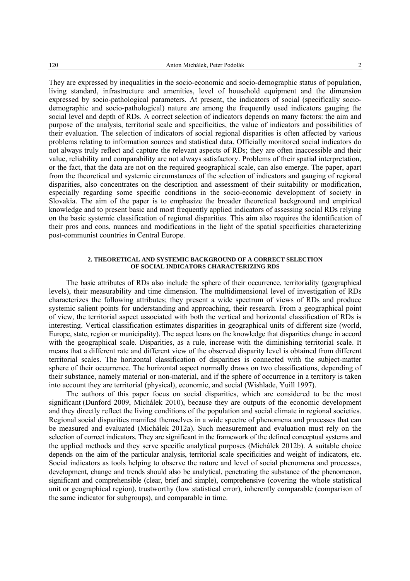They are expressed by inequalities in the socio-economic and socio-demographic status of population, living standard, infrastructure and amenities, level of household equipment and the dimension expressed by socio-pathological parameters. At present, the indicators of social (specifically sociodemographic and socio-pathological) nature are among the frequently used indicators gauging the social level and depth of RDs. A correct selection of indicators depends on many factors: the aim and purpose of the analysis, territorial scale and specificities, the value of indicators and possibilities of their evaluation. The selection of indicators of social regional disparities is often affected by various problems relating to information sources and statistical data. Officially monitored social indicators do not always truly reflect and capture the relevant aspects of RDs; they are often inaccessible and their value, reliability and comparability are not always satisfactory. Problems of their spatial interpretation, or the fact, that the data are not on the required geographical scale, can also emerge. The paper, apart from the theoretical and systemic circumstances of the selection of indicators and gauging of regional disparities, also concentrates on the description and assessment of their suitability or modification, especially regarding some specific conditions in the socio-economic development of society in Slovakia. The aim of the paper is to emphasize the broader theoretical background and empirical knowledge and to present basic and most frequently applied indicators of assessing social RDs relying on the basic systemic classification of regional disparities. This aim also requires the identification of their pros and cons, nuances and modifications in the light of the spatial specificities characterizing post-communist countries in Central Europe.

#### **2. THEORETICAL AND SYSTEMIC BACKGROUND OF A CORRECT SELECTION OF SOCIAL INDICATORS CHARACTERIZING RDS**

The basic attributes of RDs also include the sphere of their occurrence, territoriality (geographical levels), their measurability and time dimension. The multidimensional level of investigation of RDs characterizes the following attributes; they present a wide spectrum of views of RDs and produce systemic salient points for understanding and approaching, their research. From a geographical point of view, the territorial aspect associated with both the vertical and horizontal classification of RDs is interesting. Vertical classification estimates disparities in geographical units of different size (world, Europe, state, region or municipality). The aspect leans on the knowledge that disparities change in accord with the geographical scale. Disparities, as a rule, increase with the diminishing territorial scale. It means that a different rate and different view of the observed disparity level is obtained from different territorial scales. The horizontal classification of disparities is connected with the subject-matter sphere of their occurrence. The horizontal aspect normally draws on two classifications, depending of their substance, namely material or non-material, and if the sphere of occurrence in a territory is taken into account they are territorial (physical), economic, and social (Wishlade, Yuill 1997).

The authors of this paper focus on social disparities, which are considered to be the most significant (Dunford 2009, Michálek 2010), because they are outputs of the economic development and they directly reflect the living conditions of the population and social climate in regional societies. Regional social disparities manifest themselves in a wide spectre of phenomena and processes that can be measured and evaluated (Michálek 2012a). Such measurement and evaluation must rely on the selection of correct indicators. They are significant in the framework of the defined conceptual systems and the applied methods and they serve specific analytical purposes (Michálek 2012b). A suitable choice depends on the aim of the particular analysis, territorial scale specificities and weight of indicators, etc. Social indicators as tools helping to observe the nature and level of social phenomena and processes, development, change and trends should also be analytical, penetrating the substance of the phenomenon, significant and comprehensible (clear, brief and simple), comprehensive (covering the whole statistical unit or geographical region), trustworthy (low statistical error), inherently comparable (comparison of the same indicator for subgroups), and comparable in time.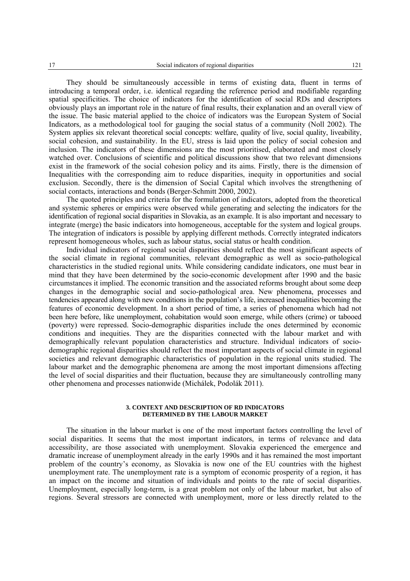They should be simultaneously accessible in terms of existing data, fluent in terms of introducing a temporal order, i.e. identical regarding the reference period and modifiable regarding spatial specificities. The choice of indicators for the identification of social RDs and descriptors obviously plays an important role in the nature of final results, their explanation and an overall view of the issue. The basic material applied to the choice of indicators was the European System of Social Indicators, as a methodological tool for gauging the social status of a community (Noll 2002). The System applies six relevant theoretical social concepts: welfare, quality of live, social quality, liveability, social cohesion, and sustainability. In the EU, stress is laid upon the policy of social cohesion and inclusion. The indicators of these dimensions are the most prioritised, elaborated and most closely watched over. Conclusions of scientific and political discussions show that two relevant dimensions exist in the framework of the social cohesion policy and its aims. Firstly, there is the dimension of Inequalities with the corresponding aim to reduce disparities, inequity in opportunities and social exclusion. Secondly, there is the dimension of Social Capital which involves the strengthening of social contacts, interactions and bonds (Berger-Schmitt 2000, 2002).

The quoted principles and criteria for the formulation of indicators, adopted from the theoretical and systemic spheres or empirics were observed while generating and selecting the indicators for the identification of regional social disparities in Slovakia, as an example. It is also important and necessary to integrate (merge) the basic indicators into homogeneous, acceptable for the system and logical groups. The integration of indicators is possible by applying different methods. Correctly integrated indicators represent homogeneous wholes, such as labour status, social status or health condition.

Individual indicators of regional social disparities should reflect the most significant aspects of the social climate in regional communities, relevant demographic as well as socio-pathological characteristics in the studied regional units. While considering candidate indicators, one must bear in mind that they have been determined by the socio-economic development after 1990 and the basic circumstances it implied. The economic transition and the associated reforms brought about some deep changes in the demographic social and socio-pathological area. New phenomena, processes and tendencies appeared along with new conditions in the population's life, increased inequalities becoming the features of economic development. In a short period of time, a series of phenomena which had not been here before, like unemployment, cohabitation would soon emerge, while others (crime) or tabooed (poverty) were repressed. Socio-demographic disparities include the ones determined by economic conditions and inequities. They are the disparities connected with the labour market and with demographically relevant population characteristics and structure. Individual indicators of sociodemographic regional disparities should reflect the most important aspects of social climate in regional societies and relevant demographic characteristics of population in the regional units studied. The labour market and the demographic phenomena are among the most important dimensions affecting the level of social disparities and their fluctuation, because they are simultaneously controlling many other phenomena and processes nationwide (Michálek, Podolák 2011).

#### **3. CONTEXT AND DESCRIPTION OF RD INDICATORS DETERMINED BY THE LABOUR MARKET**

The situation in the labour market is one of the most important factors controlling the level of social disparities. It seems that the most important indicators, in terms of relevance and data accessibility, are those associated with unemployment. Slovakia experienced the emergence and dramatic increase of unemployment already in the early 1990s and it has remained the most important problem of the country's economy, as Slovakia is now one of the EU countries with the highest unemployment rate. The unemployment rate is a symptom of economic prosperity of a region, it has an impact on the income and situation of individuals and points to the rate of social disparities. Unemployment, especially long-term, is a great problem not only of the labour market, but also of regions. Several stressors are connected with unemployment, more or less directly related to the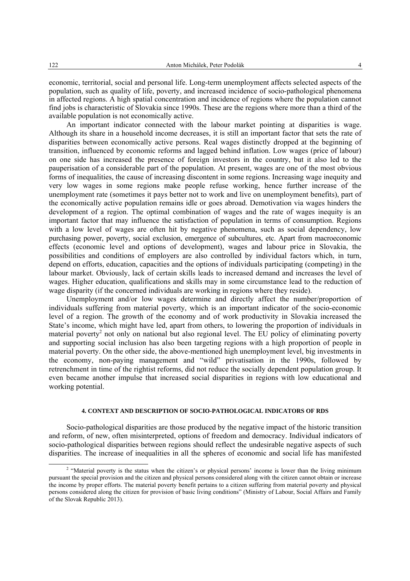economic, territorial, social and personal life. Long-term unemployment affects selected aspects of the population, such as quality of life, poverty, and increased incidence of socio-pathological phenomena in affected regions. A high spatial concentration and incidence of regions where the population cannot find jobs is characteristic of Slovakia since 1990s. These are the regions where more than a third of the available population is not economically active.

An important indicator connected with the labour market pointing at disparities is wage. Although its share in a household income decreases, it is still an important factor that sets the rate of disparities between economically active persons. Real wages distinctly dropped at the beginning of transition, influenced by economic reforms and lagged behind inflation. Low wages (price of labour) on one side has increased the presence of foreign investors in the country, but it also led to the pauperisation of a considerable part of the population. At present, wages are one of the most obvious forms of inequalities, the cause of increasing discontent in some regions. Increasing wage inequity and very low wages in some regions make people refuse working, hence further increase of the unemployment rate (sometimes it pays better not to work and live on unemployment benefits), part of the economically active population remains idle or goes abroad. Demotivation via wages hinders the development of a region. The optimal combination of wages and the rate of wages inequity is an important factor that may influence the satisfaction of population in terms of consumption. Regions with a low level of wages are often hit by negative phenomena, such as social dependency, low purchasing power, poverty, social exclusion, emergence of subcultures, etc. Apart from macroeconomic effects (economic level and options of development), wages and labour price in Slovakia, the possibilities and conditions of employers are also controlled by individual factors which, in turn, depend on efforts, education, capacities and the options of individuals participating (competing) in the labour market. Obviously, lack of certain skills leads to increased demand and increases the level of wages. Higher education, qualifications and skills may in some circumstance lead to the reduction of wage disparity (if the concerned individuals are working in regions where they reside).

Unemployment and/or low wages determine and directly affect the number/proportion of individuals suffering from material poverty, which is an important indicator of the socio-economic level of a region. The growth of the economy and of work productivity in Slovakia increased the State's income, which might have led, apart from others, to lowering the proportion of individuals in material poverty<sup>2</sup> not only on national but also regional level. The EU policy of eliminating poverty and supporting social inclusion has also been targeting regions with a high proportion of people in material poverty. On the other side, the above-mentioned high unemployment level, big investments in the economy, non-paying management and "wild" privatisation in the 1990s, followed by retrenchment in time of the rightist reforms, did not reduce the socially dependent population group. It even became another impulse that increased social disparities in regions with low educational and working potential.

# **4. CONTEXT AND DESCRIPTION OF SOCIO-PATHOLOGICAL INDICATORS OF RDS**

Socio-pathological disparities are those produced by the negative impact of the historic transition and reform, of new, often misinterpreted, options of freedom and democracy. Individual indicators of socio-pathological disparities between regions should reflect the undesirable negative aspects of such disparities. The increase of inequalities in all the spheres of economic and social life has manifested

 <sup>2</sup> <sup>2</sup> "Material poverty is the status when the citizen's or physical persons' income is lower than the living minimum pursuant the special provision and the citizen and physical persons considered along with the citizen cannot obtain or increase the income by proper efforts. The material poverty benefit pertains to a citizen suffering from material poverty and physical persons considered along the citizen for provision of basic living conditions" (Ministry of Labour, Social Affairs and Family of the Slovak Republic 2013).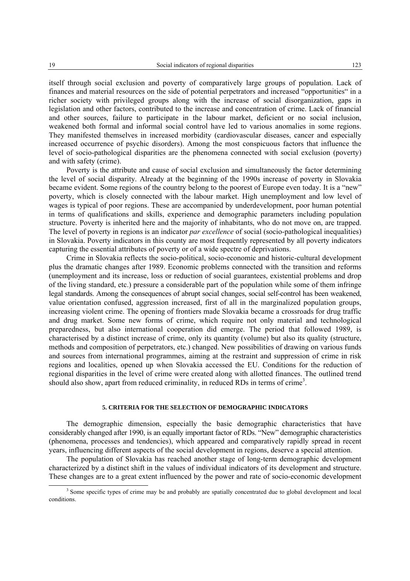itself through social exclusion and poverty of comparatively large groups of population. Lack of finances and material resources on the side of potential perpetrators and increased "opportunities" in a richer society with privileged groups along with the increase of social disorganization, gaps in legislation and other factors, contributed to the increase and concentration of crime. Lack of financial and other sources, failure to participate in the labour market, deficient or no social inclusion, weakened both formal and informal social control have led to various anomalies in some regions. They manifested themselves in increased morbidity (cardiovascular diseases, cancer and especially increased occurrence of psychic disorders). Among the most conspicuous factors that influence the level of socio-pathological disparities are the phenomena connected with social exclusion (poverty) and with safety (crime).

Poverty is the attribute and cause of social exclusion and simultaneously the factor determining the level of social disparity. Already at the beginning of the 1990s increase of poverty in Slovakia became evident. Some regions of the country belong to the poorest of Europe even today. It is a "new" poverty, which is closely connected with the labour market. High unemployment and low level of wages is typical of poor regions. These are accompanied by underdevelopment, poor human potential in terms of qualifications and skills, experience and demographic parameters including population structure. Poverty is inherited here and the majority of inhabitants, who do not move on, are trapped. The level of poverty in regions is an indicator *par excellence* of social (socio-pathological inequalities) in Slovakia. Poverty indicators in this county are most frequently represented by all poverty indicators capturing the essential attributes of poverty or of a wide spectre of deprivations.

Crime in Slovakia reflects the socio-political, socio-economic and historic-cultural development plus the dramatic changes after 1989. Economic problems connected with the transition and reforms (unemployment and its increase, loss or reduction of social guarantees, existential problems and drop of the living standard, etc.) pressure a considerable part of the population while some of them infringe legal standards. Among the consequences of abrupt social changes, social self-control has been weakened, value orientation confused, aggression increased, first of all in the marginalized population groups, increasing violent crime. The opening of frontiers made Slovakia became a crossroads for drug traffic and drug market. Some new forms of crime, which require not only material and technological preparedness, but also international cooperation did emerge. The period that followed 1989, is characterised by a distinct increase of crime, only its quantity (volume) but also its quality (structure, methods and composition of perpetrators, etc.) changed. New possibilities of drawing on various funds and sources from international programmes, aiming at the restraint and suppression of crime in risk regions and localities, opened up when Slovakia accessed the EU. Conditions for the reduction of regional disparities in the level of crime were created along with allotted finances. The outlined trend should also show, apart from reduced criminality, in reduced RDs in terms of crime<sup>3</sup>.

### **5. CRITERIA FOR THE SELECTION OF DEMOGRAPHIC INDICATORS**

The demographic dimension, especially the basic demographic characteristics that have considerably changed after 1990, is an equally important factor of RDs. "New" demographic characteristics (phenomena, processes and tendencies), which appeared and comparatively rapidly spread in recent years, influencing different aspects of the social development in regions, deserve a special attention.

The population of Slovakia has reached another stage of long-term demographic development characterized by a distinct shift in the values of individual indicators of its development and structure. These changes are to a great extent influenced by the power and rate of socio-economic development

 $\overline{\phantom{a}}$ <sup>3</sup> Some specific types of crime may be and probably are spatially concentrated due to global development and local conditions.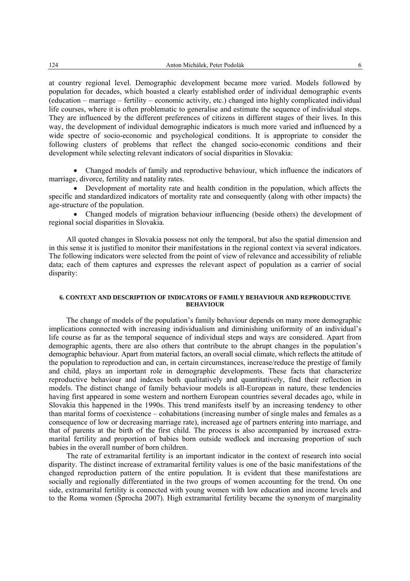at country regional level. Demographic development became more varied. Models followed by population for decades, which boasted a clearly established order of individual demographic events (education – marriage – fertility – economic activity, etc.) changed into highly complicated individual life courses, where it is often problematic to generalise and estimate the sequence of individual steps. They are influenced by the different preferences of citizens in different stages of their lives. In this way, the development of individual demographic indicators is much more varied and influenced by a wide spectre of socio-economic and psychological conditions. It is appropriate to consider the following clusters of problems that reflect the changed socio-economic conditions and their development while selecting relevant indicators of social disparities in Slovakia:

• Changed models of family and reproductive behaviour, which influence the indicators of marriage, divorce, fertility and natality rates.

• Development of mortality rate and health condition in the population, which affects the specific and standardized indicators of mortality rate and consequently (along with other impacts) the age-structure of the population.

• Changed models of migration behaviour influencing (beside others) the development of regional social disparities in Slovakia.

All quoted changes in Slovakia possess not only the temporal, but also the spatial dimension and in this sense it is justified to monitor their manifestations in the regional context via several indicators. The following indicators were selected from the point of view of relevance and accessibility of reliable data; each of them captures and expresses the relevant aspect of population as a carrier of social disparity:

### **6. CONTEXT AND DESCRIPTION OF INDICATORS OF FAMILY BEHAVIOUR AND REPRODUCTIVE BEHAVIOUR**

The change of models of the population's family behaviour depends on many more demographic implications connected with increasing individualism and diminishing uniformity of an individual's life course as far as the temporal sequence of individual steps and ways are considered. Apart from demographic agents, there are also others that contribute to the abrupt changes in the population's demographic behaviour. Apart from material factors, an overall social climate, which reflects the attitude of the population to reproduction and can, in certain circumstances, increase/reduce the prestige of family and child, plays an important role in demographic developments. These facts that characterize reproductive behaviour and indexes both qualitatively and quantitatively, find their reflection in models. The distinct change of family behaviour models is all-European in nature, these tendencies having first appeared in some western and northern European countries several decades ago, while in Slovakia this happened in the 1990s. This trend manifests itself by an increasing tendency to other than marital forms of coexistence – cohabitations (increasing number of single males and females as a consequence of low or decreasing marriage rate), increased age of partners entering into marriage, and that of parents at the birth of the first child. The process is also accompanied by increased extramarital fertility and proportion of babies born outside wedlock and increasing proportion of such babies in the overall number of born children.

The rate of extramarital fertility is an important indicator in the context of research into social disparity. The distinct increase of extramarital fertility values is one of the basic manifestations of the changed reproduction pattern of the entire population. It is evident that these manifestations are socially and regionally differentiated in the two groups of women accounting for the trend. On one side, extramarital fertility is connected with young women with low education and income levels and to the Roma women (Šprocha 2007). High extramarital fertility became the synonym of marginality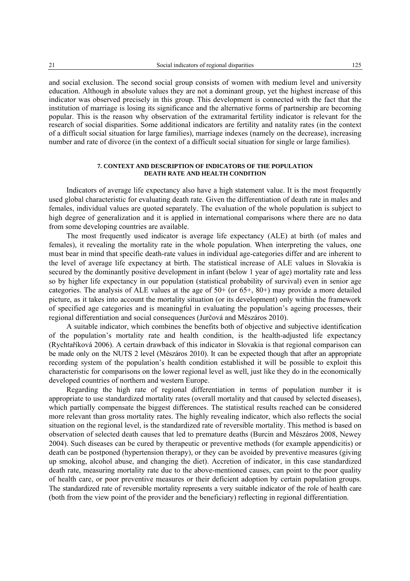and social exclusion. The second social group consists of women with medium level and university education. Although in absolute values they are not a dominant group, yet the highest increase of this indicator was observed precisely in this group. This development is connected with the fact that the institution of marriage is losing its significance and the alternative forms of partnership are becoming popular. This is the reason why observation of the extramarital fertility indicator is relevant for the research of social disparities. Some additional indicators are fertility and natality rates (in the context of a difficult social situation for large families), marriage indexes (namely on the decrease), increasing number and rate of divorce (in the context of a difficult social situation for single or large families).

### **7. CONTEXT AND DESCRIPTION OF INDICATORS OF THE POPULATION DEATH RATE AND HEALTH CONDITION**

Indicators of average life expectancy also have a high statement value. It is the most frequently used global characteristic for evaluating death rate. Given the differentiation of death rate in males and females, individual values are quoted separately. The evaluation of the whole population is subject to high degree of generalization and it is applied in international comparisons where there are no data from some developing countries are available.

The most frequently used indicator is average life expectancy (ALE) at birth (of males and females), it revealing the mortality rate in the whole population. When interpreting the values, one must bear in mind that specific death-rate values in individual age-categories differ and are inherent to the level of average life expectancy at birth. The statistical increase of ALE values in Slovakia is secured by the dominantly positive development in infant (below 1 year of age) mortality rate and less so by higher life expectancy in our population (statistical probability of survival) even in senior age categories. The analysis of ALE values at the age of  $50+$  (or  $65+$ ,  $80+$ ) may provide a more detailed picture, as it takes into account the mortality situation (or its development) only within the framework of specified age categories and is meaningful in evaluating the population's ageing processes, their regional differentiation and social consequences (Jurčová and Mészáros 2010).

A suitable indicator, which combines the benefits both of objective and subjective identification of the population's mortality rate and health condition, is the health-adjusted life expectancy (Rychtaříková 2006). A certain drawback of this indicator in Slovakia is that regional comparison can be made only on the NUTS 2 level (Mészáros 2010). It can be expected though that after an appropriate recording system of the population's health condition established it will be possible to exploit this characteristic for comparisons on the lower regional level as well, just like they do in the economically developed countries of northern and western Europe.

Regarding the high rate of regional differentiation in terms of population number it is appropriate to use standardized mortality rates (overall mortality and that caused by selected diseases), which partially compensate the biggest differences. The statistical results reached can be considered more relevant than gross mortality rates. The highly revealing indicator, which also reflects the social situation on the regional level, is the standardized rate of reversible mortality. This method is based on observation of selected death causes that led to premature deaths (Burcin and Mészáros 2008, Newey 2004). Such diseases can be cured by therapeutic or preventive methods (for example appendicitis) or death can be postponed (hypertension therapy), or they can be avoided by preventive measures (giving up smoking, alcohol abuse, and changing the diet). Accretion of indicator, in this case standardized death rate, measuring mortality rate due to the above-mentioned causes, can point to the poor quality of health care, or poor preventive measures or their deficient adoption by certain population groups. The standardized rate of reversible mortality represents a very suitable indicator of the role of health care (both from the view point of the provider and the beneficiary) reflecting in regional differentiation.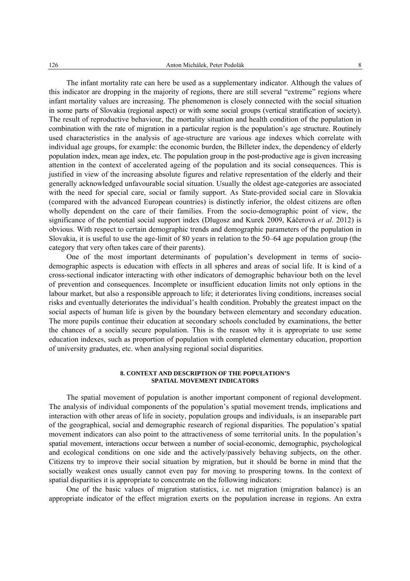The infant mortality rate can here be used as a supplementary indicator. Although the values of this indicator are dropping in the majority of regions, there are still several "extreme" regions where infant mortality values are increasing. The phenomenon is closely connected with the social situation in some parts of Slovakia (regional aspect) or with some social groups (vertical stratification of society). The result of reproductive behaviour, the mortality situation and health condition of the population in combination with the rate of migration in a particular region is the population's age structure. Routinely used characteristics in the analysis of age-structure are various age indexes which correlate with individual age groups, for example: the economic burden, the Billeter index, the dependency of elderly population index, mean age index, etc. The population group in the post-productive age is given increasing attention in the context of accelerated ageing of the population and its social consequences. This is justified in view of the increasing absolute figures and relative representation of the elderly and their generally acknowledged unfavourable social situation. Usually the oldest age-categories are associated with the need for special care, social or family support. As State-provided social care in Slovakia (compared with the advanced European countries) is distinctly inferior, the oldest citizens are often wholly dependent on the care of their families. From the socio-demographic point of view, the significance of the potential social support index (Dlugosz and Kurek 2009, Káčerová *et al*. 2012) is obvious. With respect to certain demographic trends and demographic parameters of the population in Slovakia, it is useful to use the age-limit of 80 years in relation to the 50–64 age population group (the category that very often takes care of their parents).

One of the most important determinants of population's development in terms of sociodemographic aspects is education with effects in all spheres and areas of social life. It is kind of a cross-sectional indicator interacting with other indicators of demographic behaviour both on the level of prevention and consequences. Incomplete or insufficient education limits not only options in the labour market, but also a responsible approach to life; it deteriorates living conditions, increases social risks and eventually deteriorates the individual's health condition. Probably the greatest impact on the social aspects of human life is given by the boundary between elementary and secondary education. The more pupils continue their education at secondary schools concluded by examinations, the better the chances of a socially secure population. This is the reason why it is appropriate to use some education indexes, such as proportion of population with completed elementary education, proportion of university graduates, etc. when analysing regional social disparities.

### **8. CONTEXT AND DESCRIPTION OF THE POPULATION'S SPATIAL MOVEMENT INDICATORS**

The spatial movement of population is another important component of regional development. The analysis of individual components of the population's spatial movement trends, implications and interaction with other areas of life in society, population groups and individuals, is an inseparable part of the geographical, social and demographic research of regional disparities. The population's spatial movement indicators can also point to the attractiveness of some territorial units. In the population's spatial movement, interactions occur between a number of social-economic, demographic, psychological and ecological conditions on one side and the actively/passively behaving subjects, on the other. Citizens try to improve their social situation by migration, but it should be borne in mind that the socially weakest ones usually cannot even pay for moving to prospering towns. In the context of spatial disparities it is appropriate to concentrate on the following indicators:

One of the basic values of migration statistics, i.e. net migration (migration balance) is an appropriate indicator of the effect migration exerts on the population increase in regions. An extra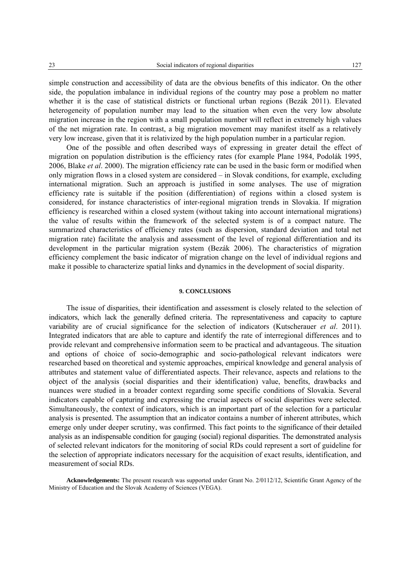simple construction and accessibility of data are the obvious benefits of this indicator. On the other side, the population imbalance in individual regions of the country may pose a problem no matter whether it is the case of statistical districts or functional urban regions (Bezák 2011). Elevated heterogeneity of population number may lead to the situation when even the very low absolute migration increase in the region with a small population number will reflect in extremely high values of the net migration rate. In contrast, a big migration movement may manifest itself as a relatively very low increase, given that it is relativized by the high population number in a particular region.

One of the possible and often described ways of expressing in greater detail the effect of migration on population distribution is the efficiency rates (for example Plane 1984, Podolák 1995, 2006, Blake *et al*. 2000). The migration efficiency rate can be used in the basic form or modified when only migration flows in a closed system are considered – in Slovak conditions, for example, excluding international migration. Such an approach is justified in some analyses. The use of migration efficiency rate is suitable if the position (differentiation) of regions within a closed system is considered, for instance characteristics of inter-regional migration trends in Slovakia. If migration efficiency is researched within a closed system (without taking into account international migrations) the value of results within the framework of the selected system is of a compact nature. The summarized characteristics of efficiency rates (such as dispersion, standard deviation and total net migration rate) facilitate the analysis and assessment of the level of regional differentiation and its development in the particular migration system (Bezák 2006). The characteristics of migration efficiency complement the basic indicator of migration change on the level of individual regions and make it possible to characterize spatial links and dynamics in the development of social disparity.

## **9. CONCLUSIONS**

The issue of disparities, their identification and assessment is closely related to the selection of indicators, which lack the generally defined criteria. The representativeness and capacity to capture variability are of crucial significance for the selection of indicators (Kutscherauer *et al*. 2011). Integrated indicators that are able to capture and identify the rate of interregional differences and to provide relevant and comprehensive information seem to be practical and advantageous. The situation and options of choice of socio-demographic and socio-pathological relevant indicators were researched based on theoretical and systemic approaches, empirical knowledge and general analysis of attributes and statement value of differentiated aspects. Their relevance, aspects and relations to the object of the analysis (social disparities and their identification) value, benefits, drawbacks and nuances were studied in a broader context regarding some specific conditions of Slovakia. Several indicators capable of capturing and expressing the crucial aspects of social disparities were selected. Simultaneously, the context of indicators, which is an important part of the selection for a particular analysis is presented. The assumption that an indicator contains a number of inherent attributes, which emerge only under deeper scrutiny, was confirmed. This fact points to the significance of their detailed analysis as an indispensable condition for gauging (social) regional disparities. The demonstrated analysis of selected relevant indicators for the monitoring of social RDs could represent a sort of guideline for the selection of appropriate indicators necessary for the acquisition of exact results, identification, and measurement of social RDs.

**Acknowledgements:** The present research was supported under Grant No. 2/0112/12, Scientific Grant Agency of the Ministry of Education and the Slovak Academy of Sciences (VEGA).